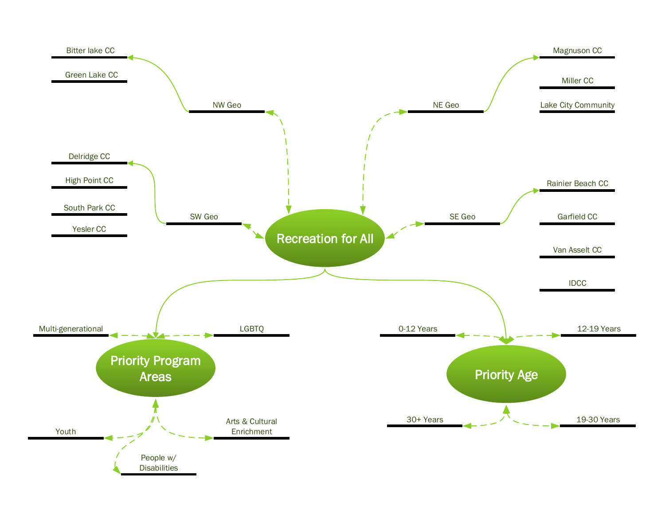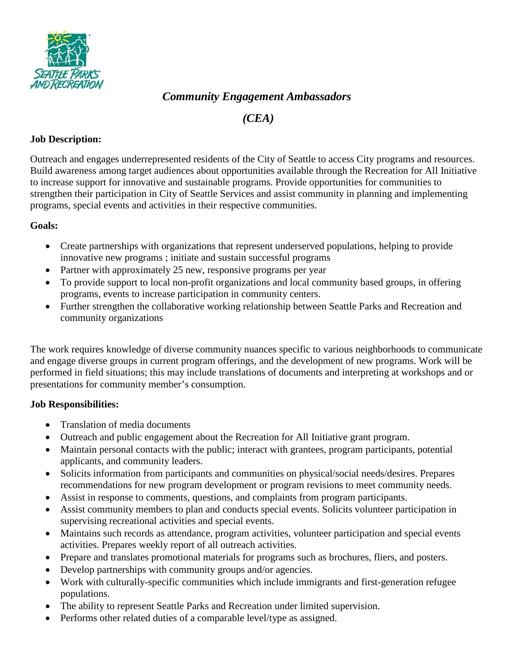

# *Community Engagement Ambassadors*

*(CEA)*

### **Job Description:**

Outreach and engages underrepresented residents of the City of Seattle to access City programs and resources. Build awareness among target audiences about opportunities available through the Recreation for All Initiative to increase support for innovative and sustainable programs. Provide opportunities for communities to strengthen their participation in City of Seattle Services and assist community in planning and implementing programs, special events and activities in their respective communities.

## **Goals:**

- Create partnerships with organizations that represent underserved populations, helping to provide innovative new programs ; initiate and sustain successful programs
- Partner with approximately 25 new, responsive programs per year
- To provide support to local non-profit organizations and local community based groups, in offering programs, events to increase participation in community centers.
- Further strengthen the collaborative working relationship between Seattle Parks and Recreation and community organizations

The work requires knowledge of diverse community nuances specific to various neighborhoods to communicate and engage diverse groups in current program offerings, and the development of new programs. Work will be performed in field situations; this may include translations of documents and interpreting at workshops and or presentations for community member's consumption.

#### **Job Responsibilities:**

- Translation of media documents
- Outreach and public engagement about the Recreation for All Initiative grant program.
- Maintain personal contacts with the public; interact with grantees, program participants, potential applicants, and community leaders.
- Solicits information from participants and communities on physical/social needs/desires. Prepares recommendations for new program development or program revisions to meet community needs.
- Assist in response to comments, questions, and complaints from program participants.
- Assist community members to plan and conducts special events. Solicits volunteer participation in supervising recreational activities and special events.
- Maintains such records as attendance, program activities, volunteer participation and special events activities. Prepares weekly report of all outreach activities.
- Prepare and translates promotional materials for programs such as brochures, fliers, and posters.
- Develop partnerships with community groups and/or agencies.
- Work with culturally-specific communities which include immigrants and first-generation refugee populations.
- The ability to represent Seattle Parks and Recreation under limited supervision.
- Performs other related duties of a comparable level/type as assigned.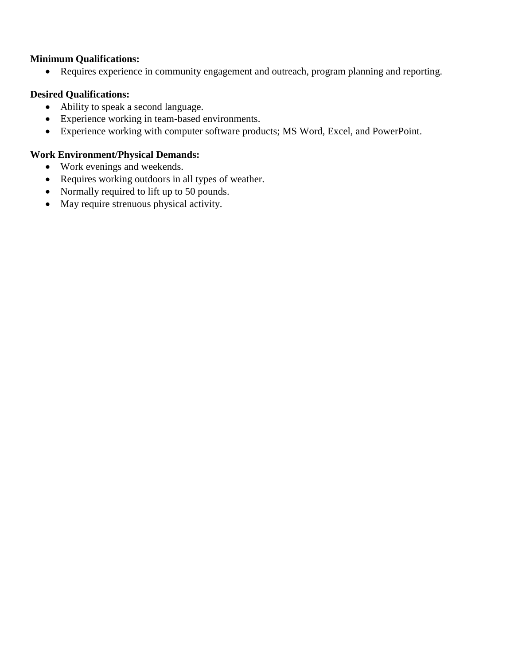#### **Minimum Qualifications:**

• Requires experience in community engagement and outreach, program planning and reporting.

## **Desired Qualifications:**

- Ability to speak a second language.
- Experience working in team-based environments.
- Experience working with computer software products; MS Word, Excel, and PowerPoint.

## **Work Environment/Physical Demands:**

- Work evenings and weekends.
- Requires working outdoors in all types of weather.
- Normally required to lift up to 50 pounds.
- May require strenuous physical activity.